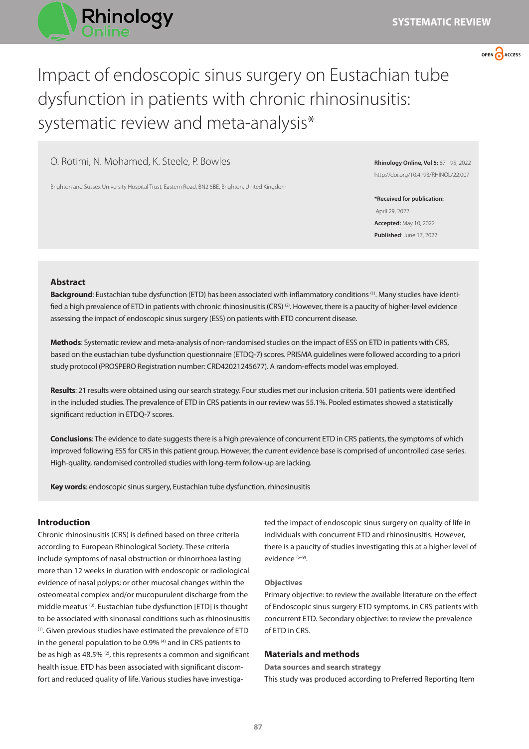



# Impact of endoscopic sinus surgery on Eustachian tube dysfunction in patients with chronic rhinosinusitis: systematic review and meta-analysis\*

O. Rotimi, N. Mohamed, K. Steele, P. Bowles

Brighton and Sussex University Hospital Trust, Eastern Road, BN2 5BE, Brighton, United Kingdom

**Rhinology Online, Vol 5:** 87 - 95, 2022 http://doi.org/10.4193/RHINOL/22.007

**\*Received for publication:** April 29, 2022 **Accepted:** May 10, 2022 **Published**: June 17, 2022

# **Abstract**

**Background**: Eustachian tube dysfunction (ETD) has been associated with inflammatory conditions (1). Many studies have identified a high prevalence of ETD in patients with chronic rhinosinusitis (CRS)<sup>(2)</sup>. However, there is a paucity of higher-level evidence assessing the impact of endoscopic sinus surgery (ESS) on patients with ETD concurrent disease.

**Methods**: Systematic review and meta-analysis of non-randomised studies on the impact of ESS on ETD in patients with CRS, based on the eustachian tube dysfunction questionnaire (ETDQ-7) scores. PRISMA guidelines were followed according to a priori study protocol (PROSPERO Registration number: CRD42021245677). A random-effects model was employed.

**Results**: 21 results were obtained using our search strategy. Four studies met our inclusion criteria. 501 patients were identified in the included studies. The prevalence of ETD in CRS patients in our review was 55.1%. Pooled estimates showed a statistically significant reduction in ETDQ-7 scores.

**Conclusions**: The evidence to date suggests there is a high prevalence of concurrent ETD in CRS patients, the symptoms of which improved following ESS for CRS in this patient group. However, the current evidence base is comprised of uncontrolled case series. High-quality, randomised controlled studies with long-term follow-up are lacking.

**Key words**: endoscopic sinus surgery, Eustachian tube dysfunction, rhinosinusitis

# **Introduction**

Chronic rhinosinusitis (CRS) is defined based on three criteria according to European Rhinological Society. These criteria include symptoms of nasal obstruction or rhinorrhoea lasting more than 12 weeks in duration with endoscopic or radiological evidence of nasal polyps; or other mucosal changes within the osteomeatal complex and/or mucopurulent discharge from the middle meatus (3). Eustachian tube dysfunction [ETD] is thought to be associated with sinonasal conditions such as rhinosinusitis (1). Given previous studies have estimated the prevalence of ETD in the general population to be 0.9% <sup>(4)</sup> and in CRS patients to be as high as 48.5% (2), this represents a common and significant health issue. ETD has been associated with significant discomfort and reduced quality of life. Various studies have investigated the impact of endoscopic sinus surgery on quality of life in individuals with concurrent ETD and rhinosinusitis. However, there is a paucity of studies investigating this at a higher level of evidence (5–9).

# **Objectives**

Primary objective: to review the available literature on the effect of Endoscopic sinus surgery ETD symptoms, in CRS patients with concurrent ETD. Secondary objective: to review the prevalence of ETD in CRS.

# **Materials and methods**

**Data sources and search strategy** This study was produced according to Preferred Reporting Item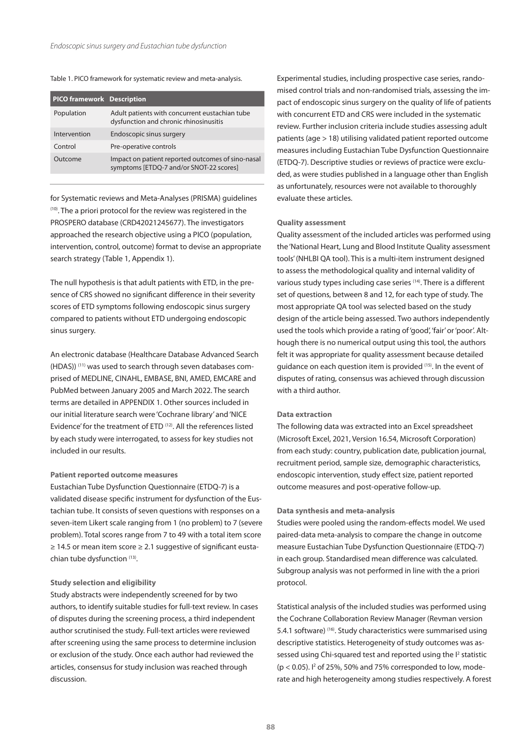#### Table 1. PICO framework for systematic review and meta-analysis.

| <b>PICO framework Description</b> |                                                                                              |
|-----------------------------------|----------------------------------------------------------------------------------------------|
| Population                        | Adult patients with concurrent eustachian tube<br>dysfunction and chronic rhinosinusitis     |
| Intervention                      | Endoscopic sinus surgery                                                                     |
| Control                           | Pre-operative controls                                                                       |
| Qutcome                           | Impact on patient reported outcomes of sino-nasal<br>symptoms [ETDQ-7 and/or SNOT-22 scores] |

for Systematic reviews and Meta-Analyses (PRISMA) guidelines (10). The a priori protocol for the review was registered in the PROSPERO database (CRD42021245677). The investigators approached the research objective using a PICO (population, intervention, control, outcome) format to devise an appropriate search strategy (Table 1, Appendix 1).

The null hypothesis is that adult patients with ETD, in the presence of CRS showed no significant difference in their severity scores of ETD symptoms following endoscopic sinus surgery compared to patients without ETD undergoing endoscopic sinus surgery.

An electronic database (Healthcare Database Advanced Search (HDAS)) (11) was used to search through seven databases comprised of MEDLINE, CINAHL, EMBASE, BNI, AMED, EMCARE and PubMed between January 2005 and March 2022. The search terms are detailed in APPENDIX 1. Other sources included in our initial literature search were 'Cochrane library' and 'NICE Evidence' for the treatment of ETD (12). All the references listed by each study were interrogated, to assess for key studies not included in our results.

#### **Patient reported outcome measures**

Eustachian Tube Dysfunction Questionnaire (ETDQ-7) is a validated disease specific instrument for dysfunction of the Eustachian tube. It consists of seven questions with responses on a seven-item Likert scale ranging from 1 (no problem) to 7 (severe problem). Total scores range from 7 to 49 with a total item score ≥ 14.5 or mean item score ≥ 2.1 suggestive of significant eustachian tube dysfunction (13).

# **Study selection and eligibility**

Study abstracts were independently screened for by two authors, to identify suitable studies for full-text review. In cases of disputes during the screening process, a third independent author scrutinised the study. Full-text articles were reviewed after screening using the same process to determine inclusion or exclusion of the study. Once each author had reviewed the articles, consensus for study inclusion was reached through discussion.

Experimental studies, including prospective case series, randomised control trials and non-randomised trials, assessing the impact of endoscopic sinus surgery on the quality of life of patients with concurrent ETD and CRS were included in the systematic review. Further inclusion criteria include studies assessing adult patients (age > 18) utilising validated patient reported outcome measures including Eustachian Tube Dysfunction Questionnaire (ETDQ-7). Descriptive studies or reviews of practice were excluded, as were studies published in a language other than English as unfortunately, resources were not available to thoroughly evaluate these articles.

# **Quality assessment**

Quality assessment of the included articles was performed using the 'National Heart, Lung and Blood Institute Quality assessment tools' (NHLBI QA tool). This is a multi-item instrument designed to assess the methodological quality and internal validity of various study types including case series (14). There is a different set of questions, between 8 and 12, for each type of study. The most appropriate QA tool was selected based on the study design of the article being assessed. Two authors independently used the tools which provide a rating of 'good', 'fair' or 'poor'. Although there is no numerical output using this tool, the authors felt it was appropriate for quality assessment because detailed guidance on each question item is provided (15). In the event of disputes of rating, consensus was achieved through discussion with a third author.

#### **Data extraction**

The following data was extracted into an Excel spreadsheet (Microsoft Excel, 2021, Version 16.54, Microsoft Corporation) from each study: country, publication date, publication journal, recruitment period, sample size, demographic characteristics, endoscopic intervention, study effect size, patient reported outcome measures and post-operative follow-up.

# **Data synthesis and meta-analysis**

Studies were pooled using the random-effects model. We used paired-data meta-analysis to compare the change in outcome measure Eustachian Tube Dysfunction Questionnaire (ETDQ-7) in each group. Standardised mean difference was calculated. Subgroup analysis was not performed in line with the a priori protocol.

Statistical analysis of the included studies was performed using the Cochrane Collaboration Review Manager (Revman version 5.4.1 software) (16). Study characteristics were summarised using descriptive statistics. Heterogeneity of study outcomes was assessed using Chi-squared test and reported using the I<sup>2</sup> statistic  $(p < 0.05)$ . I<sup>2</sup> of 25%, 50% and 75% corresponded to low, moderate and high heterogeneity among studies respectively. A forest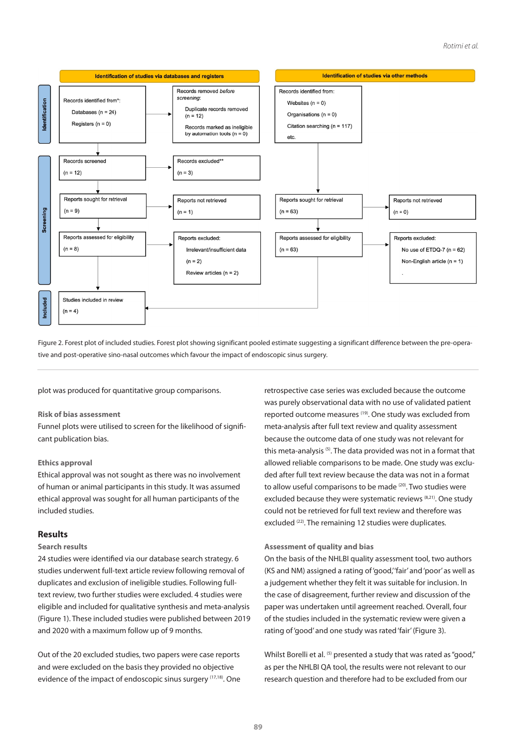## *Rotimi et al.*



Figure 2. Forest plot of included studies. Forest plot showing significant pooled estimate suggesting a significant difference between the pre-operative and post-operative sino-nasal outcomes which favour the impact of endoscopic sinus surgery.

plot was produced for quantitative group comparisons.

# **Risk of bias assessment**

Funnel plots were utilised to screen for the likelihood of significant publication bias.

# **Ethics approval**

Ethical approval was not sought as there was no involvement of human or animal participants in this study. It was assumed ethical approval was sought for all human participants of the included studies.

# **Results**

#### **Search results**

24 studies were identified via our database search strategy. 6 studies underwent full-text article review following removal of duplicates and exclusion of ineligible studies. Following fulltext review, two further studies were excluded. 4 studies were eligible and included for qualitative synthesis and meta-analysis (Figure 1). These included studies were published between 2019 and 2020 with a maximum follow up of 9 months.

Out of the 20 excluded studies, two papers were case reports and were excluded on the basis they provided no objective evidence of the impact of endoscopic sinus surgery (17,18). One retrospective case series was excluded because the outcome was purely observational data with no use of validated patient reported outcome measures (19). One study was excluded from meta-analysis after full text review and quality assessment because the outcome data of one study was not relevant for this meta-analysis<sup>(5)</sup>. The data provided was not in a format that allowed reliable comparisons to be made. One study was excluded after full text review because the data was not in a format to allow useful comparisons to be made (20). Two studies were excluded because they were systematic reviews (8,21). One study could not be retrieved for full text review and therefore was excluded (22). The remaining 12 studies were duplicates.

# **Assessment of quality and bias**

On the basis of the NHLBI quality assessment tool, two authors (KS and NM) assigned a rating of 'good,' 'fair' and 'poor' as well as a judgement whether they felt it was suitable for inclusion. In the case of disagreement, further review and discussion of the paper was undertaken until agreement reached. Overall, four of the studies included in the systematic review were given a rating of 'good' and one study was rated 'fair' (Figure 3).

Whilst Borelli et al. (5) presented a study that was rated as "good," as per the NHLBI QA tool, the results were not relevant to our research question and therefore had to be excluded from our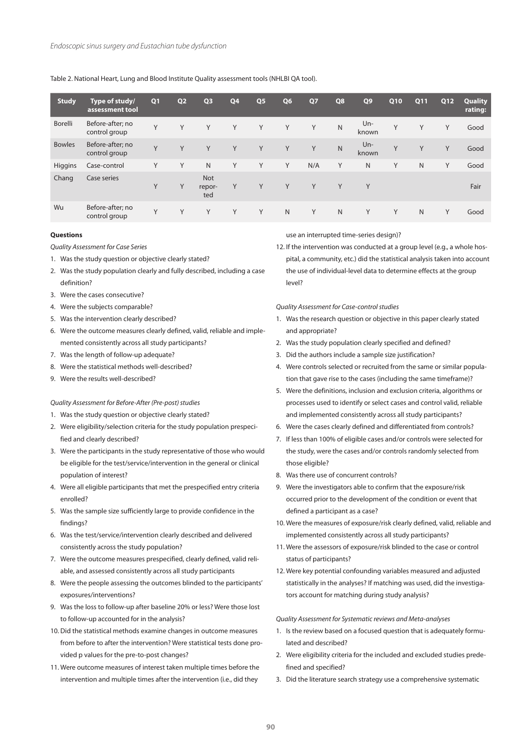Table 2. National Heart, Lung and Blood Institute Quality assessment tools (NHLBI QA tool).

| <b>Study</b>   | Type of study/<br>assessment tool | Q <sub>1</sub> | Q <sub>2</sub> | Q <sub>3</sub>              | Q4 | Q <sub>5</sub> | Q <sub>6</sub> | Q7  | Q8           | Q9              | Q10 | Q11 | Q12 | Quality<br>rating: |
|----------------|-----------------------------------|----------------|----------------|-----------------------------|----|----------------|----------------|-----|--------------|-----------------|-----|-----|-----|--------------------|
| <b>Borelli</b> | Before-after; no<br>control group | Υ              | Y              | V                           | Y  | Y              | Y              | Y   | N            | Un-<br>known    | Y   | Y   | Y   | Good               |
| <b>Bowles</b>  | Before-after; no<br>control group | Y              | Y              | Y                           | Υ  | Y              | Y              | Y   | $\mathsf{N}$ | $Un -$<br>known | Y   | Υ   | Y   | Good               |
| Higgins        | Case-control                      | Υ              | Y              | $\mathsf{N}$                | Υ  | Y              | Y              | N/A | Y            | N               | Y   | N   | Y   | Good               |
| Chang          | Case series                       | Y              | Y              | <b>Not</b><br>repor-<br>ted | Y  | Y              | Y              | Y   | Y            | Y               |     |     |     | Fair               |
| Wu             | Before-after; no<br>control group | Y              | Y              | Y                           | Y  | Y              | $\mathsf{N}$   | Y   | N            | Y               | Y   | N   | Y   | Good               |

# **Questions**

*Quality Assessment for Case Series*

- 1. Was the study question or objective clearly stated?
- 2. Was the study population clearly and fully described, including a case definition?
- 3. Were the cases consecutive?
- 4. Were the subjects comparable?
- 5. Was the intervention clearly described?
- 6. Were the outcome measures clearly defined, valid, reliable and implemented consistently across all study participants?
- 7. Was the length of follow-up adequate?
- 8. Were the statistical methods well-described?
- 9. Were the results well-described?

#### *Quality Assessment for Before-After (Pre-post) studies*

- 1. Was the study question or objective clearly stated?
- 2. Were eligibility/selection criteria for the study population prespecified and clearly described?
- 3. Were the participants in the study representative of those who would be eligible for the test/service/intervention in the general or clinical population of interest?
- 4. Were all eligible participants that met the prespecified entry criteria enrolled?
- 5. Was the sample size sufficiently large to provide confidence in the findings?
- 6. Was the test/service/intervention clearly described and delivered consistently across the study population?
- 7. Were the outcome measures prespecified, clearly defined, valid reliable, and assessed consistently across all study participants
- 8. Were the people assessing the outcomes blinded to the participants' exposures/interventions?
- 9. Was the loss to follow-up after baseline 20% or less? Were those lost to follow-up accounted for in the analysis?
- 10. Did the statistical methods examine changes in outcome measures from before to after the intervention? Were statistical tests done provided p values for the pre-to-post changes?
- 11. Were outcome measures of interest taken multiple times before the intervention and multiple times after the intervention (i.e., did they

use an interrupted time-series design)?

12. If the intervention was conducted at a group level (e.g., a whole hospital, a community, etc.) did the statistical analysis taken into account the use of individual-level data to determine effects at the group level?

*Quality Assessment for Case-control studies*

- 1. Was the research question or objective in this paper clearly stated and appropriate?
- 2. Was the study population clearly specified and defined?
- 3. Did the authors include a sample size justification?
- 4. Were controls selected or recruited from the same or similar population that gave rise to the cases (including the same timeframe)?
- 5. Were the definitions, inclusion and exclusion criteria, algorithms or processes used to identify or select cases and control valid, reliable and implemented consistently across all study participants?
- 6. Were the cases clearly defined and differentiated from controls?
- 7. If less than 100% of eligible cases and/or controls were selected for the study, were the cases and/or controls randomly selected from those eligible?
- 8. Was there use of concurrent controls?
- 9. Were the investigators able to confirm that the exposure/risk occurred prior to the development of the condition or event that defined a participant as a case?
- 10. Were the measures of exposure/risk clearly defined, valid, reliable and implemented consistently across all study participants?
- 11. Were the assessors of exposure/risk blinded to the case or control status of participants?
- 12. Were key potential confounding variables measured and adjusted statistically in the analyses? If matching was used, did the investigators account for matching during study analysis?

#### *Quality Assessment for Systematic reviews and Meta-analyses*

- 1. Is the review based on a focused question that is adequately formulated and described?
- 2. Were eligibility criteria for the included and excluded studies predefined and specified?
- 3. Did the literature search strategy use a comprehensive systematic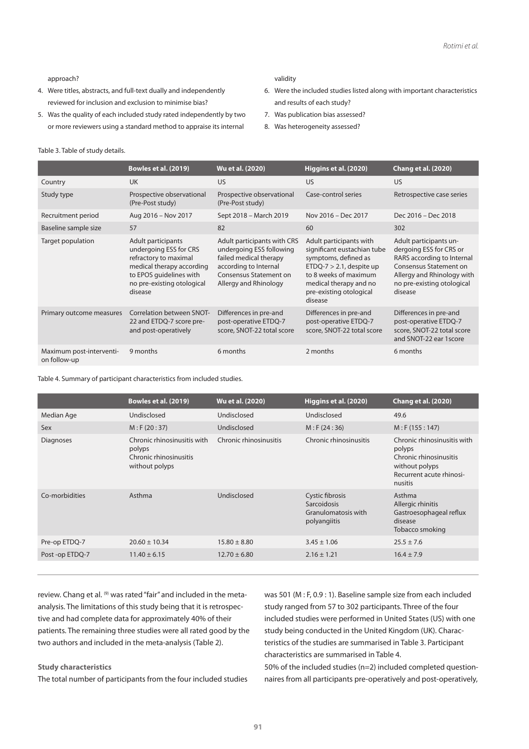approach?

- 4. Were titles, abstracts, and full-text dually and independently reviewed for inclusion and exclusion to minimise bias?
- 5. Was the quality of each included study rated independently by two or more reviewers using a standard method to appraise its internal

#### validity

- 6. Were the included studies listed along with important characteristics and results of each study?
- 7. Was publication bias assessed?
- 8. Was heterogeneity assessed?

# Table 3. Table of study details.

|                                          | <b>Bowles et al. (2019)</b>                                                                                                                                            | Wu et al. (2020)                                                                                                                                              | Higgins et al. (2020)                                                                                                                                                                                  | <b>Chang et al. (2020)</b>                                                                                                                                                              |
|------------------------------------------|------------------------------------------------------------------------------------------------------------------------------------------------------------------------|---------------------------------------------------------------------------------------------------------------------------------------------------------------|--------------------------------------------------------------------------------------------------------------------------------------------------------------------------------------------------------|-----------------------------------------------------------------------------------------------------------------------------------------------------------------------------------------|
| Country                                  | <b>UK</b>                                                                                                                                                              | US                                                                                                                                                            | US                                                                                                                                                                                                     | <b>US</b>                                                                                                                                                                               |
| Study type                               | Prospective observational<br>(Pre-Post study)                                                                                                                          | Prospective observational<br>(Pre-Post study)                                                                                                                 | Case-control series                                                                                                                                                                                    | Retrospective case series                                                                                                                                                               |
| Recruitment period                       | Aug 2016 - Nov 2017                                                                                                                                                    | Sept 2018 - March 2019                                                                                                                                        | Nov 2016 - Dec 2017                                                                                                                                                                                    | Dec 2016 - Dec 2018                                                                                                                                                                     |
| Baseline sample size                     | 57                                                                                                                                                                     | 82                                                                                                                                                            | 60                                                                                                                                                                                                     | 302                                                                                                                                                                                     |
| Target population                        | Adult participants<br>undergoing ESS for CRS<br>refractory to maximal<br>medical therapy according<br>to EPOS quidelines with<br>no pre-existing otological<br>disease | Adult participants with CRS<br>undergoing ESS following<br>failed medical therapy<br>according to Internal<br>Consensus Statement on<br>Allergy and Rhinology | Adult participants with<br>significant eustachian tube<br>symptoms, defined as<br>$ETDQ-7 > 2.1$ , despite up<br>to 8 weeks of maximum<br>medical therapy and no<br>pre-existing otological<br>disease | Adult participants un-<br>dergoing ESS for CRS or<br>RARS according to Internal<br><b>Consensus Statement on</b><br>Allergy and Rhinology with<br>no pre-existing otological<br>disease |
| Primary outcome measures                 | Correlation between SNOT-<br>22 and ETDQ-7 score pre-<br>and post-operatively                                                                                          | Differences in pre-and<br>post-operative ETDQ-7<br>score, SNOT-22 total score                                                                                 | Differences in pre-and<br>post-operative ETDQ-7<br>score, SNOT-22 total score                                                                                                                          | Differences in pre-and<br>post-operative ETDQ-7<br>score, SNOT-22 total score<br>and SNOT-22 ear 1score                                                                                 |
| Maximum post-interventi-<br>on follow-up | 9 months                                                                                                                                                               | 6 months                                                                                                                                                      | 2 months                                                                                                                                                                                               | 6 months                                                                                                                                                                                |

Table 4. Summary of participant characteristics from included studies.

|                  | <b>Bowles et al. (2019)</b>                                                       | Wu et al. (2020)       | Higgins et al. (2020)                                                 | Chang et al. (2020)                                                                                                      |
|------------------|-----------------------------------------------------------------------------------|------------------------|-----------------------------------------------------------------------|--------------------------------------------------------------------------------------------------------------------------|
| Median Age       | Undisclosed                                                                       | Undisclosed            | Undisclosed                                                           | 49.6                                                                                                                     |
| Sex              | M: F(20:37)                                                                       | Undisclosed            | M: F(24:36)                                                           | M: F(155:147)                                                                                                            |
| <b>Diagnoses</b> | Chronic rhinosinusitis with<br>polyps<br>Chronic rhinosinusitis<br>without polyps | Chronic rhinosinusitis | Chronic rhinosinusitis                                                | Chronic rhinosinusitis with<br>polyps<br>Chronic rhinosinusitis<br>without polyps<br>Recurrent acute rhinosi-<br>nusitis |
| Co-morbidities   | Asthma                                                                            | Undisclosed            | Cystic fibrosis<br>Sarcoidosis<br>Granulomatosis with<br>polyangiitis | Asthma<br>Allergic rhinitis<br>Gastroesophageal reflux<br>disease<br>Tobacco smoking                                     |
| Pre-op ETDQ-7    | $20.60 \pm 10.34$                                                                 | $15.80 \pm 8.80$       | $3.45 \pm 1.06$                                                       | $25.5 \pm 7.6$                                                                                                           |
| Post-op ETDQ-7   | $11.40 \pm 6.15$                                                                  | $12.70 \pm 6.80$       | $2.16 \pm 1.21$                                                       | $16.4 \pm 7.9$                                                                                                           |
|                  |                                                                                   |                        |                                                                       |                                                                                                                          |

review. Chang et al. <sup>(9)</sup> was rated "fair" and included in the metaanalysis. The limitations of this study being that it is retrospective and had complete data for approximately 40% of their patients. The remaining three studies were all rated good by the two authors and included in the meta-analysis (Table 2).

# **Study characteristics**

The total number of participants from the four included studies

was 501 (M : F, 0.9 : 1). Baseline sample size from each included study ranged from 57 to 302 participants. Three of the four included studies were performed in United States (US) with one study being conducted in the United Kingdom (UK). Characteristics of the studies are summarised in Table 3. Participant characteristics are summarised in Table 4.

50% of the included studies (n=2) included completed questionnaires from all participants pre-operatively and post-operatively,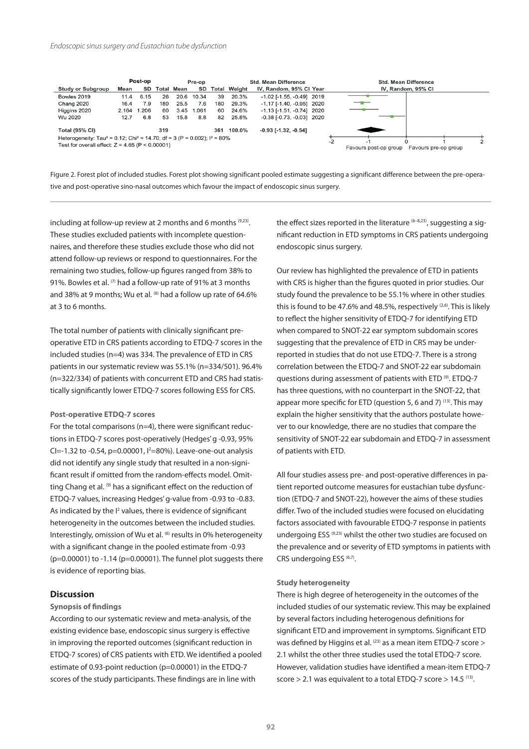

Figure 2. Forest plot of included studies. Forest plot showing significant pooled estimate suggesting a significant difference between the pre-operative and post-operative sino-nasal outcomes which favour the impact of endoscopic sinus surgery.

including at follow-up review at 2 months and 6 months (9,23). These studies excluded patients with incomplete questionnaires, and therefore these studies exclude those who did not attend follow-up reviews or respond to questionnaires. For the remaining two studies, follow-up figures ranged from 38% to 91%. Bowles et al. (7) had a follow-up rate of 91% at 3 months and 38% at 9 months; Wu et al. <sup>(6)</sup> had a follow up rate of 64.6% at 3 to 6 months.

The total number of patients with clinically significant preoperative ETD in CRS patients according to ETDQ-7 scores in the included studies (n=4) was 334. The prevalence of ETD in CRS patients in our systematic review was 55.1% (n=334/501). 96.4% (n=322/334) of patients with concurrent ETD and CRS had statistically significantly lower ETDQ-7 scores following ESS for CRS.

#### **Post-operative ETDQ-7 scores**

For the total comparisons ( $n=4$ ), there were significant reductions in ETDQ-7 scores post-operatively (Hedges' g -0.93, 95% CI=-1.32 to -0.54, p=0.00001,  $I^2$ =80%). Leave-one-out analysis did not identify any single study that resulted in a non-significant result if omitted from the random-effects model. Omitting Chang et al. (9) has a significant effect on the reduction of ETDQ-7 values, increasing Hedges' g-value from -0.93 to -0.83. As indicated by the I<sup>2</sup> values, there is evidence of significant heterogeneity in the outcomes between the included studies. Interestingly, omission of Wu et al. <sup>(6)</sup> results in 0% heterogeneity with a significant change in the pooled estimate from -0.93 (p=0.00001) to -1.14 (p=0.00001). The funnel plot suggests there is evidence of reporting bias.

#### **Discussion**

# **Synopsis of findings**

According to our systematic review and meta-analysis, of the existing evidence base, endoscopic sinus surgery is effective in improving the reported outcomes (significant reduction in ETDQ-7 scores) of CRS patients with ETD. We identified a pooled estimate of 0.93-point reduction (p=0.00001) in the ETDQ-7 scores of the study participants. These findings are in line with

the effect sizes reported in the literature  $(6-8,23)$ , suggesting a significant reduction in ETD symptoms in CRS patients undergoing endoscopic sinus surgery.

Our review has highlighted the prevalence of ETD in patients with CRS is higher than the figures quoted in prior studies. Our study found the prevalence to be 55.1% where in other studies this is found to be 47.6% and 48.5%, respectively  $(2,6)$ . This is likely to reflect the higher sensitivity of ETDQ-7 for identifying ETD when compared to SNOT-22 ear symptom subdomain scores suggesting that the prevalence of ETD in CRS may be underreported in studies that do not use ETDQ-7. There is a strong correlation between the ETDQ-7 and SNOT-22 ear subdomain questions during assessment of patients with ETD (9). ETDQ-7 has three questions, with no counterpart in the SNOT-22, that appear more specific for ETD (question 5, 6 and 7)  $(13)$ . This may explain the higher sensitivity that the authors postulate however to our knowledge, there are no studies that compare the sensitivity of SNOT-22 ear subdomain and ETDQ-7 in assessment of patients with ETD.

All four studies assess pre- and post-operative differences in patient reported outcome measures for eustachian tube dysfunction (ETDQ-7 and SNOT-22), however the aims of these studies differ. Two of the included studies were focused on elucidating factors associated with favourable ETDQ-7 response in patients undergoing ESS (9,23) whilst the other two studies are focused on the prevalence and or severity of ETD symptoms in patients with CRS undergoing ESS (6,7).

#### **Study heterogeneity**

There is high degree of heterogeneity in the outcomes of the included studies of our systematic review. This may be explained by several factors including heterogenous definitions for significant ETD and improvement in symptoms. Significant ETD was defined by Higgins et al. (23) as a mean item ETDQ-7 score > 2.1 whilst the other three studies used the total ETDQ-7 score. However, validation studies have identified a mean-item ETDQ-7 score  $> 2.1$  was equivalent to a total ETDQ-7 score  $> 14.5$  (13).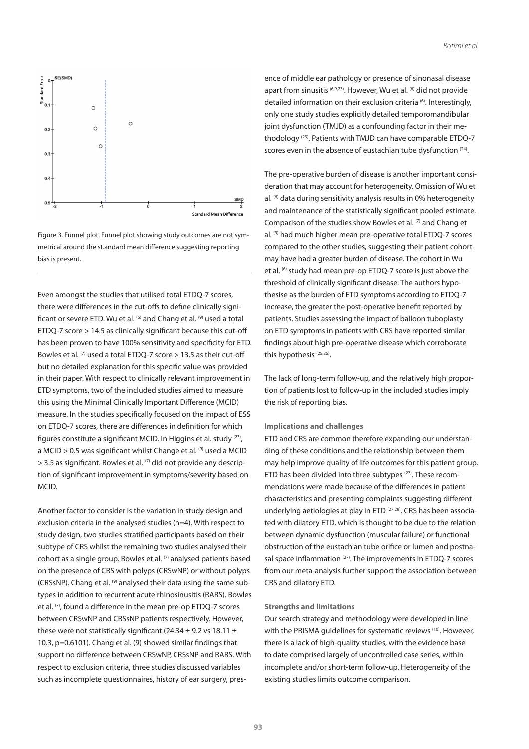

Figure 3. Funnel plot. Funnel plot showing study outcomes are not symmetrical around the st.andard mean difference suggesting reporting bias is present.

Even amongst the studies that utilised total ETDQ-7 scores, there were differences in the cut-offs to define clinically significant or severe ETD. Wu et al. <sup>(6)</sup> and Chang et al. <sup>(9)</sup> used a total ETDQ-7 score > 14.5 as clinically significant because this cut-off has been proven to have 100% sensitivity and specificity for ETD. Bowles et al.  $(7)$  used a total ETDQ-7 score  $> 13.5$  as their cut-off but no detailed explanation for this specific value was provided in their paper. With respect to clinically relevant improvement in ETD symptoms, two of the included studies aimed to measure this using the Minimal Clinically Important Difference (MCID) measure. In the studies specifically focused on the impact of ESS on ETDQ-7 scores, there are differences in definition for which figures constitute a significant MCID. In Higgins et al. study (23), a MCID  $> 0.5$  was significant whilst Change et al.  $(9)$  used a MCID  $>$  3.5 as significant. Bowles et al.  $(7)$  did not provide any description of significant improvement in symptoms/severity based on MCID.

Another factor to consider is the variation in study design and exclusion criteria in the analysed studies (n=4). With respect to study design, two studies stratified participants based on their subtype of CRS whilst the remaining two studies analysed their cohort as a single group. Bowles et al. (7) analysed patients based on the presence of CRS with polyps (CRSwNP) or without polyps (CRSsNP). Chang et al. (9) analysed their data using the same subtypes in addition to recurrent acute rhinosinusitis (RARS). Bowles et al. <sup>(7)</sup>, found a difference in the mean pre-op ETDQ-7 scores between CRSwNP and CRSsNP patients respectively. However, these were not statistically significant (24.34  $\pm$  9.2 vs 18.11  $\pm$ 10.3, p=0.6101). Chang et al. (9) showed similar findings that support no difference between CRSwNP, CRSsNP and RARS. With respect to exclusion criteria, three studies discussed variables such as incomplete questionnaires, history of ear surgery, pres-

ence of middle ear pathology or presence of sinonasal disease apart from sinusitis (6,9,23). However, Wu et al. (6) did not provide detailed information on their exclusion criteria <sup>(6)</sup>. Interestingly, only one study studies explicitly detailed temporomandibular joint dysfunction (TMJD) as a confounding factor in their methodology (23). Patients with TMJD can have comparable ETDQ-7 scores even in the absence of eustachian tube dysfunction <sup>(24)</sup>.

The pre-operative burden of disease is another important consideration that may account for heterogeneity. Omission of Wu et al. <sup>(6)</sup> data during sensitivity analysis results in 0% heterogeneity and maintenance of the statistically significant pooled estimate. Comparison of the studies show Bowles et al.  $(7)$  and Chang et al. (9) had much higher mean pre-operative total ETDQ-7 scores compared to the other studies, suggesting their patient cohort may have had a greater burden of disease. The cohort in Wu et al. <sup>(6)</sup> study had mean pre-op ETDQ-7 score is just above the threshold of clinically significant disease. The authors hypothesise as the burden of ETD symptoms according to ETDQ-7 increase, the greater the post-operative benefit reported by patients. Studies assessing the impact of balloon tuboplasty on ETD symptoms in patients with CRS have reported similar findings about high pre-operative disease which corroborate this hypothesis<sup>(25,26)</sup>.

The lack of long-term follow-up, and the relatively high proportion of patients lost to follow-up in the included studies imply the risk of reporting bias.

#### **Implications and challenges**

ETD and CRS are common therefore expanding our understanding of these conditions and the relationship between them may help improve quality of life outcomes for this patient group. ETD has been divided into three subtypes (27). These recommendations were made because of the differences in patient characteristics and presenting complaints suggesting different underlying aetiologies at play in ETD (27,28). CRS has been associated with dilatory ETD, which is thought to be due to the relation between dynamic dysfunction (muscular failure) or functional obstruction of the eustachian tube orifice or lumen and postnasal space inflammation (27). The improvements in ETDQ-7 scores from our meta-analysis further support the association between CRS and dilatory ETD.

#### **Strengths and limitations**

Our search strategy and methodology were developed in line with the PRISMA guidelines for systematic reviews (10). However, there is a lack of high-quality studies, with the evidence base to date comprised largely of uncontrolled case series, within incomplete and/or short-term follow-up. Heterogeneity of the existing studies limits outcome comparison.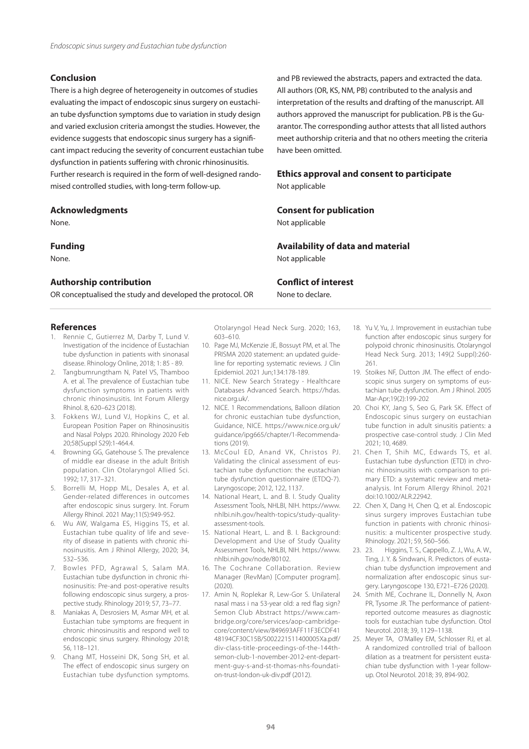# **Conclusion**

There is a high degree of heterogeneity in outcomes of studies evaluating the impact of endoscopic sinus surgery on eustachian tube dysfunction symptoms due to variation in study design and varied exclusion criteria amongst the studies. However, the evidence suggests that endoscopic sinus surgery has a significant impact reducing the severity of concurrent eustachian tube dysfunction in patients suffering with chronic rhinosinusitis. Further research is required in the form of well-designed randomised controlled studies, with long-term follow-up.

# **Acknowledgments**

None.

# **Funding**

None.

# **Authorship contribution**

OR conceptualised the study and developed the protocol. OR

# **References**

- 1. Rennie C, Gutierrez M, Darby T, Lund V. Investigation of the incidence of Eustachian tube dysfunction in patients with sinonasal disease. Rhinology Online, 2018; 1: 85 - 89.
- 2. Tangbumrungtham N, Patel VS, Thamboo A. et al. The prevalence of Eustachian tube dysfunction symptoms in patients with chronic rhinosinusitis. Int Forum Allergy Rhinol. 8, 620–623 (2018).
- 3. Fokkens WJ, Lund VJ, Hopkins C, et al. European Position Paper on Rhinosinusitis and Nasal Polyps 2020. Rhinology 2020 Feb 20;58(Suppl S29):1-464.4.
- 4. Browning GG, Gatehouse S. The prevalence of middle ear disease in the adult British population. Clin Otolaryngol Allied Sci. 1992; 17, 317–321.
- 5. Borrelli M, Hopp ML, Desales A, et al. Gender-related differences in outcomes after endoscopic sinus surgery. Int. Forum Allergy Rhinol. 2021 May;11(5):949-952.
- 6. Wu AW, Walgama ES, Higgins TS, et al. Eustachian tube quality of life and severity of disease in patients with chronic rhinosinusitis. Am J Rhinol Allergy, 2020; 34, 532–536.
- 7. Bowles PFD, Agrawal S, Salam MA. Eustachian tube dysfunction in chronic rhinosinusitis: Pre-and post-operative results following endoscopic sinus surgery, a prospective study. Rhinology 2019; 57, 73–77.
- 8. Manjakas A, Desrosiers M, Asmar MH, et al. Eustachian tube symptoms are frequent in chronic rhinosinusitis and respond well to endoscopic sinus surgery. Rhinology 2018; 56, 118–121.
- 9. Chang MT, Hosseini DK, Song SH, et al. The effect of endoscopic sinus surgery on Eustachian tube dysfunction symptoms.

Otolaryngol Head Neck Surg. 2020; 163, 603–610.

- 10. Page MJ, McKenzie JE, Bossuyt PM, et al. The PRISMA 2020 statement: an updated guideline for reporting systematic reviews. J Clin Epidemiol. 2021 Jun;134:178-189.
- 11. NICE. New Search Strategy Healthcare Databases Advanced Search. https://hdas. nice.org.uk/.
- 12. NICE. 1 Recommendations, Balloon dilation for chronic eustachian tube dysfunction, Guidance, NICE. https://www.nice.org.uk/ guidance/ipg665/chapter/1-Recommendations (2019).
- 13. McCoul ED, Anand VK, Christos PJ. Validating the clinical assessment of eustachian tube dysfunction: the eustachian tube dysfunction questionnaire (ETDQ-7). Laryngoscope; 2012, 122, 1137.
- 14. National Heart, L. and B. I. Study Quality Assessment Tools, NHLBI, NIH. https://www. nhlbi.nih.gov/health-topics/study-qualityassessment-tools.
- 15. National Heart, L. and B. I. Background: Development and Use of Study Quality Assessment Tools, NHLBI, NIH. https://www. nhlbi.nih.gov/node/80102.
- 16. The Cochrane Collaboration. Review Manager (RevMan) [Computer program]. (2020).
- 17. Amin N, Roplekar R, Lew-Gor S. Unilateral nasal mass i na 53-year old: a red flag sign? Semon Club Abstract https://www.cambridge.org/core/services/aop-cambridgecore/content/view/849693AFF11F3ECDF41 48194CF30C15B/S002221511400005Xa.pdf/ div-class-title-proceedings-of-the-144thsemon-club-1-november-2012-ent-department-guy-s-and-st-thomas-nhs-foundation-trust-london-uk-div.pdf (2012).

and PB reviewed the abstracts, papers and extracted the data. All authors (OR, KS, NM, PB) contributed to the analysis and interpretation of the results and drafting of the manuscript. All authors approved the manuscript for publication. PB is the Guarantor. The corresponding author attests that all listed authors meet authorship criteria and that no others meeting the criteria have been omitted.

# **Ethics approval and consent to participate**  Not applicable

# **Consent for publication**

Not applicable

# **Availability of data and material**

Not applicable

# **Conflict of interest**

None to declare.

- 18. Yu V, Yu, J. Improvement in eustachian tube function after endoscopic sinus surgery for polypoid chronic rhinosinusitis. Otolaryngol Head Neck Surg. 2013; 149(2 Suppl):260- 261.
- 19. Stoikes NF, Dutton JM. The effect of endoscopic sinus surgery on symptoms of eustachian tube dysfunction. Am J Rhinol. 2005 Mar-Apr;19(2):199-202
- 20. Choi KY, Jang S, Seo G, Park SK. Effect of Endoscopic sinus surgery on eustachian tube function in adult sinusitis patients: a prospective case-control study. J Clin Med 2021; 10, 4689.
- 21. Chen T, Shih MC, Edwards TS, et al. Eustachian tube dysfunction (ETD) in chronic rhinosinusitis with comparison to primary ETD: a systematic review and metaanalysis. Int Forum Allergy Rhinol. 2021 doi:10.1002/ALR.22942.
- 22. Chen X, Dang H, Chen Q, et al. Endoscopic sinus surgery improves Eustachian tube function in patients with chronic rhinosinusitis: a multicenter prospective study. Rhinology. 2021; 59, 560–566.
- 23. 23. Higgins, T. S., Cappello, Z. J., Wu, A. W., Ting, J. Y. & Sindwani, R. Predictors of eustachian tube dysfunction improvement and normalization after endoscopic sinus surgery. Laryngoscope 130, E721–E726 (2020).
- 24. Smith ME, Cochrane IL, Donnelly N, Axon PR, Tysome JR. The performance of patientreported outcome measures as diagnostic tools for eustachian tube dysfunction. Otol Neurotol. 2018; 39, 1129–1138.
- 25. Meyer TA, O'Malley EM, Schlosser RJ, et al. A randomized controlled trial of balloon dilation as a treatment for persistent eustachian tube dysfunction with 1-year followup. Otol Neurotol. 2018; 39, 894-902.